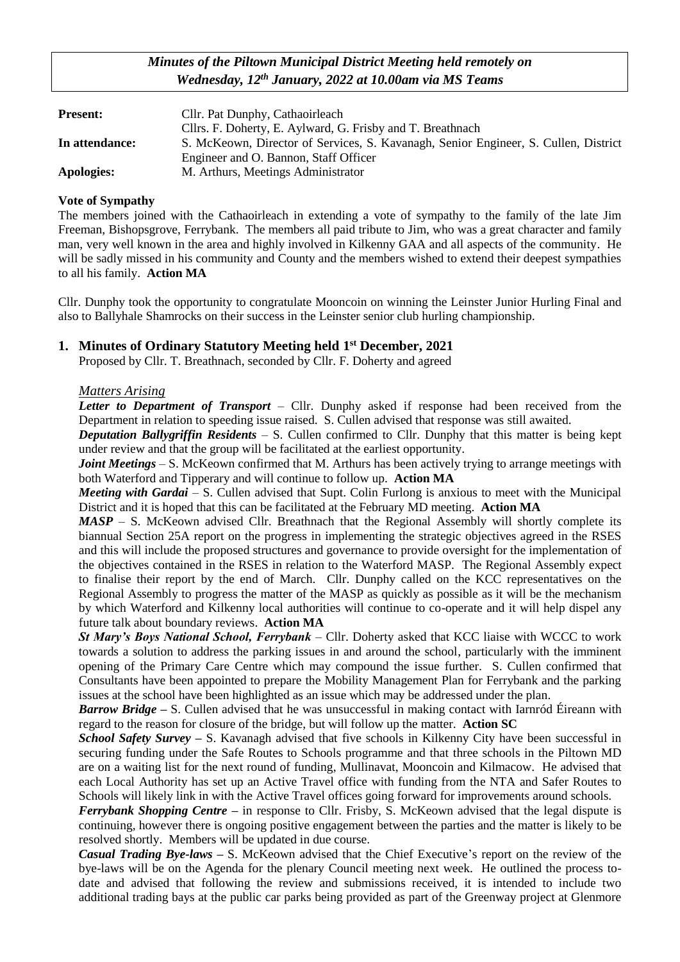# *Minutes of the Piltown Municipal District Meeting held remotely on Wednesday, 12th January, 2022 at 10.00am via MS Teams*

| <b>Present:</b> | Cllr. Pat Dunphy, Cathaoirleach                                                     |
|-----------------|-------------------------------------------------------------------------------------|
|                 | Cllrs. F. Doherty, E. Aylward, G. Frisby and T. Breathnach                          |
| In attendance:  | S. McKeown, Director of Services, S. Kavanagh, Senior Engineer, S. Cullen, District |
|                 | Engineer and O. Bannon, Staff Officer                                               |
| Apologies:      | M. Arthurs, Meetings Administrator                                                  |

#### **Vote of Sympathy**

The members joined with the Cathaoirleach in extending a vote of sympathy to the family of the late Jim Freeman, Bishopsgrove, Ferrybank. The members all paid tribute to Jim, who was a great character and family man, very well known in the area and highly involved in Kilkenny GAA and all aspects of the community. He will be sadly missed in his community and County and the members wished to extend their deepest sympathies to all his family. **Action MA**

Cllr. Dunphy took the opportunity to congratulate Mooncoin on winning the Leinster Junior Hurling Final and also to Ballyhale Shamrocks on their success in the Leinster senior club hurling championship.

## **1. Minutes of Ordinary Statutory Meeting held 1 st December, 2021**

Proposed by Cllr. T. Breathnach, seconded by Cllr. F. Doherty and agreed

#### *Matters Arising*

*Letter to Department of Transport* – Cllr. Dunphy asked if response had been received from the Department in relation to speeding issue raised. S. Cullen advised that response was still awaited.

*Deputation Ballygriffin Residents* – S. Cullen confirmed to Cllr. Dunphy that this matter is being kept under review and that the group will be facilitated at the earliest opportunity.

*Joint Meetings* – S. McKeown confirmed that M. Arthurs has been actively trying to arrange meetings with both Waterford and Tipperary and will continue to follow up. **Action MA**

*Meeting with Gardai* – S. Cullen advised that Supt. Colin Furlong is anxious to meet with the Municipal District and it is hoped that this can be facilitated at the February MD meeting. **Action MA**

*MASP* – S. McKeown advised Cllr. Breathnach that the Regional Assembly will shortly complete its biannual Section 25A report on the progress in implementing the strategic objectives agreed in the RSES and this will include the proposed structures and governance to provide oversight for the implementation of the objectives contained in the RSES in relation to the Waterford MASP. The Regional Assembly expect to finalise their report by the end of March. Cllr. Dunphy called on the KCC representatives on the Regional Assembly to progress the matter of the MASP as quickly as possible as it will be the mechanism by which Waterford and Kilkenny local authorities will continue to co-operate and it will help dispel any future talk about boundary reviews. **Action MA**

*St Mary's Boys National School, Ferrybank* – Cllr. Doherty asked that KCC liaise with WCCC to work towards a solution to address the parking issues in and around the school, particularly with the imminent opening of the Primary Care Centre which may compound the issue further. S. Cullen confirmed that Consultants have been appointed to prepare the Mobility Management Plan for Ferrybank and the parking issues at the school have been highlighted as an issue which may be addressed under the plan.

*Barrow Bridge* **–** S. Cullen advised that he was unsuccessful in making contact with Iarnród Éireann with regard to the reason for closure of the bridge, but will follow up the matter. **Action SC**

*School Safety Survey –* S. Kavanagh advised that five schools in Kilkenny City have been successful in securing funding under the Safe Routes to Schools programme and that three schools in the Piltown MD are on a waiting list for the next round of funding, Mullinavat, Mooncoin and Kilmacow. He advised that each Local Authority has set up an Active Travel office with funding from the NTA and Safer Routes to Schools will likely link in with the Active Travel offices going forward for improvements around schools.

*Ferrybank Shopping Centre* – in response to Cllr. Frisby, S. McKeown advised that the legal dispute is continuing, however there is ongoing positive engagement between the parties and the matter is likely to be resolved shortly. Members will be updated in due course.

*Casual Trading Bye-laws –* S. McKeown advised that the Chief Executive's report on the review of the bye-laws will be on the Agenda for the plenary Council meeting next week. He outlined the process todate and advised that following the review and submissions received, it is intended to include two additional trading bays at the public car parks being provided as part of the Greenway project at Glenmore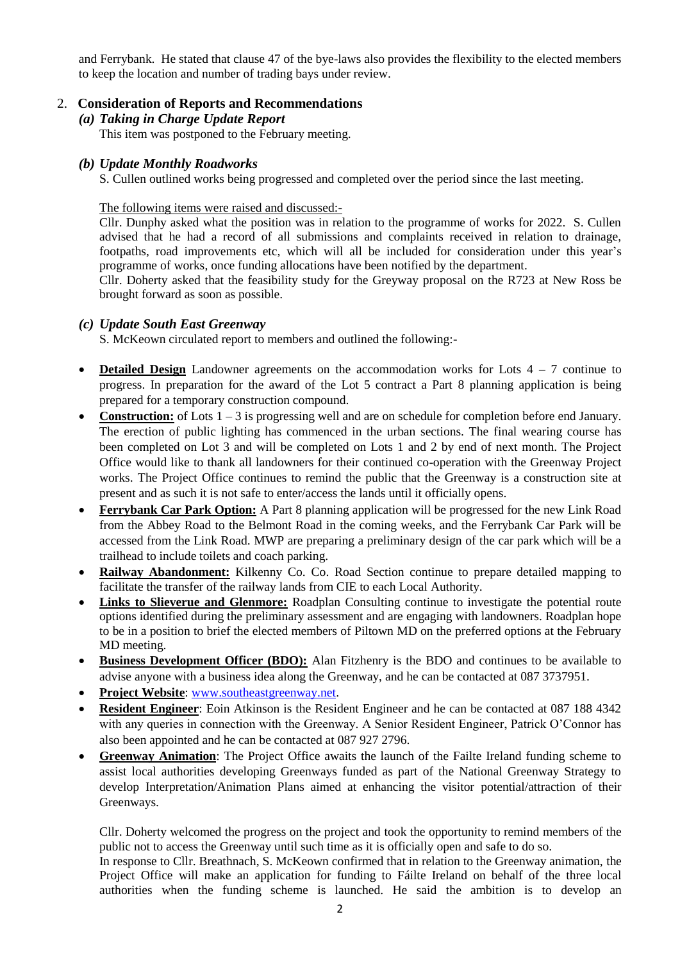and Ferrybank. He stated that clause 47 of the bye-laws also provides the flexibility to the elected members to keep the location and number of trading bays under review.

### 2. **Consideration of Reports and Recommendations**

## *(a) Taking in Charge Update Report*

This item was postponed to the February meeting.

## *(b) Update Monthly Roadworks*

S. Cullen outlined works being progressed and completed over the period since the last meeting.

The following items were raised and discussed:-

Cllr. Dunphy asked what the position was in relation to the programme of works for 2022. S. Cullen advised that he had a record of all submissions and complaints received in relation to drainage, footpaths, road improvements etc, which will all be included for consideration under this year's programme of works, once funding allocations have been notified by the department.

Cllr. Doherty asked that the feasibility study for the Greyway proposal on the R723 at New Ross be brought forward as soon as possible.

## *(c) Update South East Greenway*

S. McKeown circulated report to members and outlined the following:-

- **Detailed Design** Landowner agreements on the accommodation works for Lots 4 7 continue to progress. In preparation for the award of the Lot 5 contract a Part 8 planning application is being prepared for a temporary construction compound.
- **Construction:** of Lots 1 3 is progressing well and are on schedule for completion before end January. The erection of public lighting has commenced in the urban sections. The final wearing course has been completed on Lot 3 and will be completed on Lots 1 and 2 by end of next month. The Project Office would like to thank all landowners for their continued co-operation with the Greenway Project works. The Project Office continues to remind the public that the Greenway is a construction site at present and as such it is not safe to enter/access the lands until it officially opens.
- **Ferrybank Car Park Option:** A Part 8 planning application will be progressed for the new Link Road from the Abbey Road to the Belmont Road in the coming weeks, and the Ferrybank Car Park will be accessed from the Link Road. MWP are preparing a preliminary design of the car park which will be a trailhead to include toilets and coach parking.
- **Railway Abandonment:** Kilkenny Co. Co. Road Section continue to prepare detailed mapping to facilitate the transfer of the railway lands from CIE to each Local Authority.
- Links to Slieverue and Glenmore: Roadplan Consulting continue to investigate the potential route options identified during the preliminary assessment and are engaging with landowners. Roadplan hope to be in a position to brief the elected members of Piltown MD on the preferred options at the February MD meeting.
- **Business Development Officer (BDO):** Alan Fitzhenry is the BDO and continues to be available to advise anyone with a business idea along the Greenway, and he can be contacted at 087 3737951.
- **Project Website**: [www.southeastgreenway.net.](http://www.southeastgreenway.net/)
- **Resident Engineer**: Eoin Atkinson is the Resident Engineer and he can be contacted at 087 188 4342 with any queries in connection with the Greenway. A Senior Resident Engineer, Patrick O'Connor has also been appointed and he can be contacted at 087 927 2796.
- **Greenway Animation**: The Project Office awaits the launch of the Failte Ireland funding scheme to assist local authorities developing Greenways funded as part of the National Greenway Strategy to develop Interpretation/Animation Plans aimed at enhancing the visitor potential/attraction of their Greenways.

Cllr. Doherty welcomed the progress on the project and took the opportunity to remind members of the public not to access the Greenway until such time as it is officially open and safe to do so.

In response to Cllr. Breathnach, S. McKeown confirmed that in relation to the Greenway animation, the Project Office will make an application for funding to Fáilte Ireland on behalf of the three local authorities when the funding scheme is launched. He said the ambition is to develop an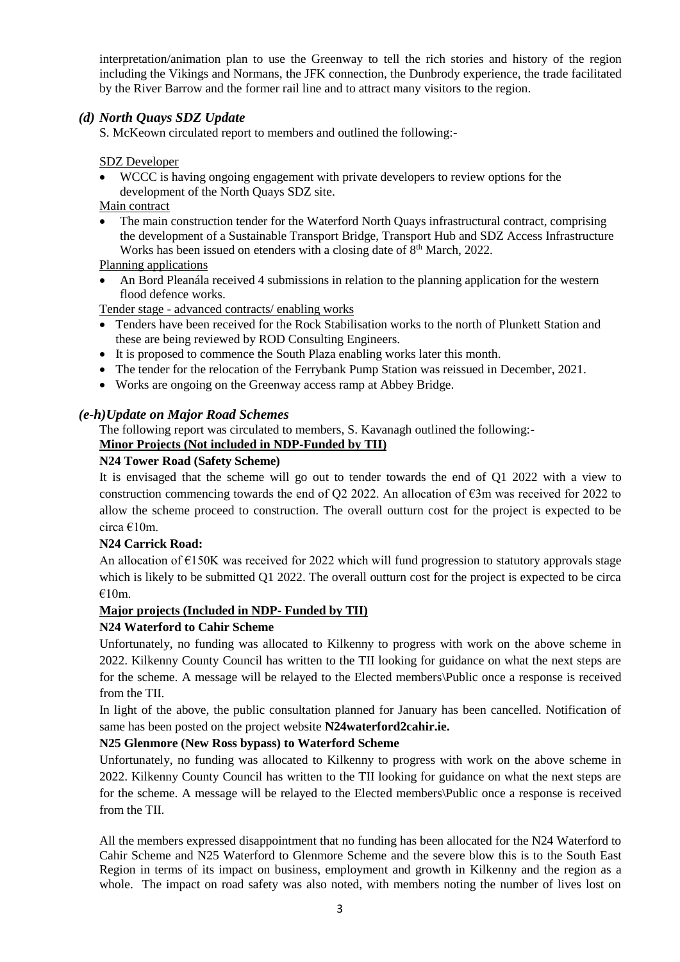interpretation/animation plan to use the Greenway to tell the rich stories and history of the region including the Vikings and Normans, the JFK connection, the Dunbrody experience, the trade facilitated by the River Barrow and the former rail line and to attract many visitors to the region.

# *(d) North Quays SDZ Update*

S. McKeown circulated report to members and outlined the following:-

#### SDZ Developer

• WCCC is having ongoing engagement with private developers to review options for the development of the North Quays SDZ site.

Main contract

• The main construction tender for the Waterford North Quays infrastructural contract, comprising the development of a Sustainable Transport Bridge, Transport Hub and SDZ Access Infrastructure Works has been issued on etenders with a closing date of 8<sup>th</sup> March, 2022.

### Planning applications

• An Bord Pleanála received 4 submissions in relation to the planning application for the western flood defence works.

Tender stage - advanced contracts/ enabling works

- Tenders have been received for the Rock Stabilisation works to the north of Plunkett Station and these are being reviewed by ROD Consulting Engineers.
- It is proposed to commence the South Plaza enabling works later this month.
- The tender for the relocation of the Ferrybank Pump Station was reissued in December, 2021.
- Works are ongoing on the Greenway access ramp at Abbey Bridge.

#### *(e-h)Update on Major Road Schemes*

The following report was circulated to members, S. Kavanagh outlined the following:- **Minor Projects (Not included in NDP-Funded by TII)**

#### **N24 Tower Road (Safety Scheme)**

It is envisaged that the scheme will go out to tender towards the end of Q1 2022 with a view to construction commencing towards the end of Q2 2022. An allocation of  $\epsilon$ 3m was received for 2022 to allow the scheme proceed to construction. The overall outturn cost for the project is expected to be circa €10m.

#### **N24 Carrick Road:**

An allocation of  $E150K$  was received for 2022 which will fund progression to statutory approvals stage which is likely to be submitted Q1 2022. The overall outturn cost for the project is expected to be circa €10m.

### **Major projects (Included in NDP- Funded by TII)**

### **N24 Waterford to Cahir Scheme**

Unfortunately, no funding was allocated to Kilkenny to progress with work on the above scheme in 2022. Kilkenny County Council has written to the TII looking for guidance on what the next steps are for the scheme. A message will be relayed to the Elected members\Public once a response is received from the TII.

In light of the above, the public consultation planned for January has been cancelled. Notification of same has been posted on the project website **N24waterford2cahir.ie.** 

### **N25 Glenmore (New Ross bypass) to Waterford Scheme**

Unfortunately, no funding was allocated to Kilkenny to progress with work on the above scheme in 2022. Kilkenny County Council has written to the TII looking for guidance on what the next steps are for the scheme. A message will be relayed to the Elected members\Public once a response is received from the TII

All the members expressed disappointment that no funding has been allocated for the N24 Waterford to Cahir Scheme and N25 Waterford to Glenmore Scheme and the severe blow this is to the South East Region in terms of its impact on business, employment and growth in Kilkenny and the region as a whole. The impact on road safety was also noted, with members noting the number of lives lost on